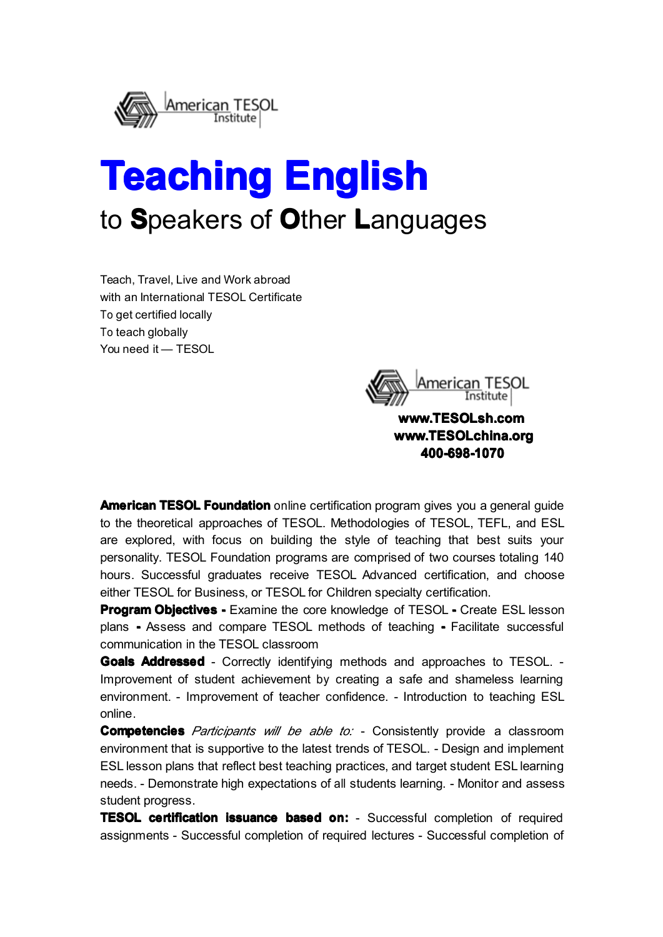

# **Teaching Teaching Teaching Teaching English English English** to **S**peakers of **O**ther **L**anguages

Teach, Travel, Live and Work abroad with an International TESOL Certificate To get certified locally To teach globally You need it — TESOL



**[www.TESOLsh.com](http://www.tesolsh.com) www.TESOLsh.com** www.TESOLchina.org **400-698-1070 400-698-1070 400-698-1070**

**American TESOL Foundation** online certification program gives you a general guide to the theoretical approaches of TESOL. Methodologies of TESOL, TEFL, and ESL are explored, with focus on building the style of teaching that best suits your personality. TESOL Foundation programs are comprised of two courses totaling 140 hours. Successful graduates receive TESOL Advanced certification, and choose either TESOL for Business, or TESOL for Children specialty certification.

**Program Objectives -** Examine the core knowledge of TESOL - Create ESL lesson plans **-** Assess and compare TESOL methods of teaching **-** Facilitate successful communication in the TESOL classroom

**Goals Addressed Addressed** - Correctly identifying methods and approaches to TESOL. - Improvement of student achievement by creating <sup>a</sup> safe and shameless learning environment. - Improvement of teacher confidence. - Introduction to teaching ESL online.

**Competencies** Participants will be able to: - Consistently provide a classroom environment that is supportive to the latest trends of TESOL. - Design and implement ESL lesson plans that reflect best teaching practices, and target student ESL learning needs. - Demonstrate high expectations of all students learning. - Monitor and assess student progress.

**TESOL certification issuance based on:** - Successful completion of required assignments - Successful completion of required lectures - Successful completion of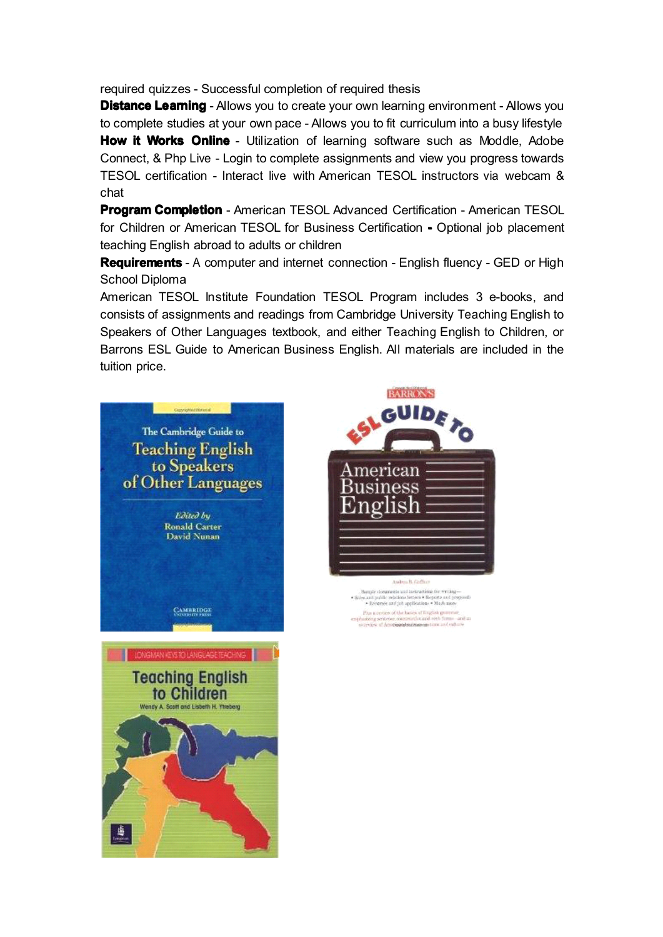required quizzes - Successful completion of required thesis

**Distance Learning** - Allows you to create your own learning environment - Allows you to complete studies at your own pace - Allows you to fit curriculum into <sup>a</sup> busy lifestyle **How it Works Online** - Utilization of learning software such as Moddle, Adobe Connect, &Php Live - Login to complete assignments and view you progress towards TESOL certification - Interact live with American TESOL instructors via webcam & chat

**Program Completion** - American TESOL Advanced Certification - American TESOL for Children or American TESOL for Business Certification **-** Optional job placement teaching English abroad to adults or children

**Requirements** - A computer and internet connection - English fluency - GED or High School Diploma

American TESOL Institute Foundation TESOL Program includes 3 e-books, and consists of assignments and readings from Cambridge University Teaching English to Speakers of Other Languages textbook, and either Teaching English to Children, or Barrons ESL Guide to American Business English. All materials are included in the tuition price.





 $\label{eq:optimal} \begin{minipage}{0.9\textwidth} \begin{minipage}{0.9\textwidth} \begin{minipage}{0.9\textwidth} \begin{minipage}{0.9\textwidth} \begin{minipage}{0.9\textwidth} \begin{minipage}{0.9\textwidth} \begin{minipage}{0.9\textwidth} \begin{minipage}{0.9\textwidth} \begin{minipage}{0.9\textwidth} \begin{minipage}{0.9\textwidth} \begin{minipage}{0.9\textwidth} \begin{minipage}{0.9\textwidth} \begin{minipage}{0.9\textwidth} \begin{minipage}{0.9\textwidth} \begin{minipage}{0.9\textwidth} \begin$ .<br>Plus is review of the basics of Krigfiels generous:<br>seleing seriester, coverentlyst and reek forms - and in<br>treator of Americanders/managements and culture

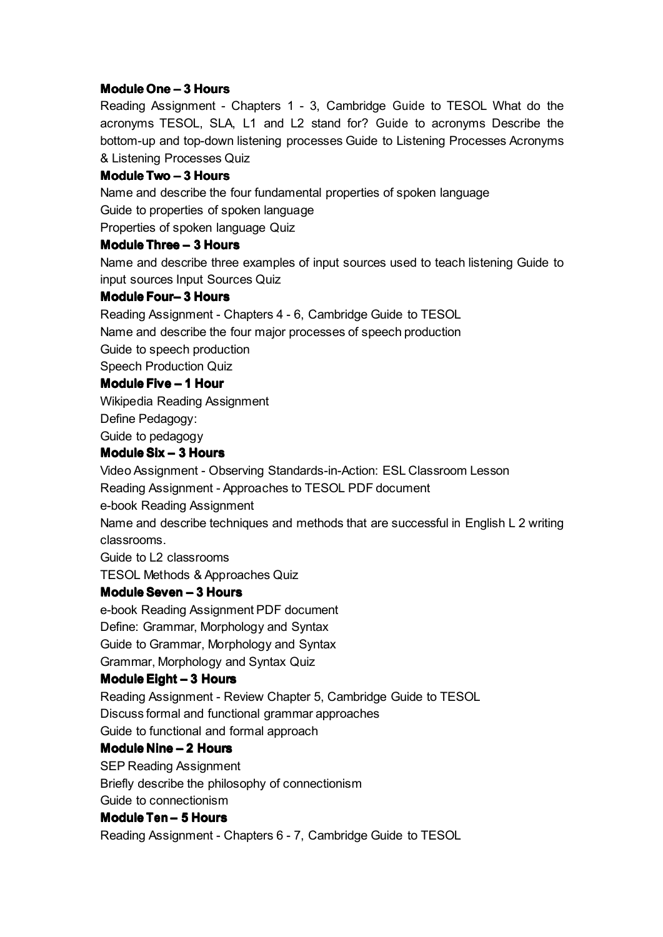#### **Module One – 3 Hours**

Reading Assignment - Chapters 1 - 3, Cambridge Guide to TESOL What do the acronyms TESOL, SLA, L1 and L2 stand for? Guide to acronyms Describe the bottom-up and top-down listening processes Guide to Listening Processes Acronyms & Listening Processes Quiz

#### **Module Two – 3 Hours**

Name and describe the four fundamental properties of spoken language Guide to properties of spoken language

Properties of spoken language Quiz

#### **Module Three – 3 Hours**

Name and describe three examples of input sources used to teach listening Guide to input sources Input Sources Quiz

#### **Module Four– 3 Hours**

Reading Assignment - Chapters 4 - 6, Cambridge Guide to TESOL Name and describe the four major processes of speech production Guide to speech production Speech Production Quiz **Module Five – 1 Hour**

Wikipedia Reading Assignment

Define Pedagogy:

Guide to pedagogy

### **Module Six – 3 Hours**

Video Assignment - Observing Standards-in-Action: ESL Classroom Lesson

Reading Assignment - Approaches to TESOL PDF document

e-book Reading Assignment

Name and describe techniques and methods that are successful in English L 2 writing classrooms.

Guide to L2 classrooms

TESOL Methods & Approaches Quiz

#### **Module Seven – 3 Hours**

e-book Reading Assignment PDF document Define: Grammar, Morphology and Syntax Guide to Grammar, Morphology and Syntax Grammar, Morphology and Syntax Quiz

#### **Module Eight – 3 Hours**

Reading Assignment - Review Chapter 5, Cambridge Guide to TESOL Discuss formal and functional grammar approaches

Guide to functional and formal approach

# **Module Nine – 2 Hours**

SEP Reading Assignment Briefly describe the philosophy of connectionism Guide to connectionism

#### **Module Ten – 5 Hours**

Reading Assignment - Chapters 6 - 7, Cambridge Guide to TESOL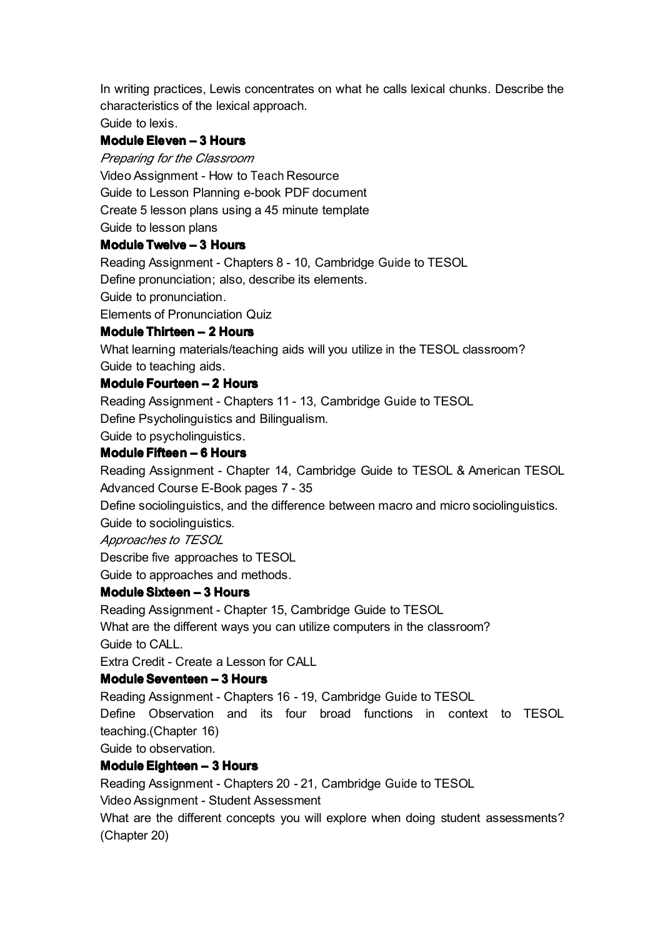In writing practices, Lewis concentrates on what he calls lexical chunks. Describe the characteristics of the lexical approach.

Guide to lexis.

## **Module Eleven – 3 Hours**

*Preparing for the Classroom*

Video Assignment - How to Teach Resource

Guide to Lesson Planning e-book PDF document

Create 5 lesson plans using <sup>a</sup> 45 minute template

Guide to lesson plans

### **Module Twelve – 3 Hours**

Reading Assignment - Chapters 8 - 10, Cambridge Guide to TESOL

Define pronunciation; also, describe its elements.

Guide to pronunciation.

Elements of Pronunciation Quiz

# **Module Thirteen – 2 Hours**

What learning materials/teaching aids will you utilize in the TESOL classroom? Guide to teaching aids.

### **Module Fourteen Fourteen– 2 Hours**

Reading Assignment - Chapters 11 - 13, Cambridge Guide to TESOL

Define Psycholinguistics and Bilingualism.

Guide to psycholinguistics.

### **Module Fifteen – 6 Hours**

Reading Assignment - Chapter 14, Cambridge Guide to TESOL & American TESOL Advanced Course E-Book pages 7 - 35

Define sociolinguistics, and the difference between macro and micro sociolinguistics.

Guide to sociolinguistics.

*Approaches to TESOL*

Describe five approaches to TESOL

Guide to approaches and methods.

# **Module Sixteen – 3 Hours**

Reading Assignment - Chapter 15, Cambridge Guide to TESOL

What are the different ways you can utilize computers in the classroom? Guide to CALL.

Extra Credit - Create a Lesson for CALL

# **Module Seventeen – 3 Hours**

Reading Assignment - Chapters 16 - 19, Cambridge Guide to TESOL

Define Observation and its four broad functions in context to TESOL teaching.(Chapter 16)

Guide to observation.

# **Module Eighteen Eighteen– 3 Hours**

Reading Assignment - Chapters 20 - 21, Cambridge Guide to TESOL

Video Assignment - Student Assessment

What are the different concepts you will explore when doing student assessments? (Chapter 20)